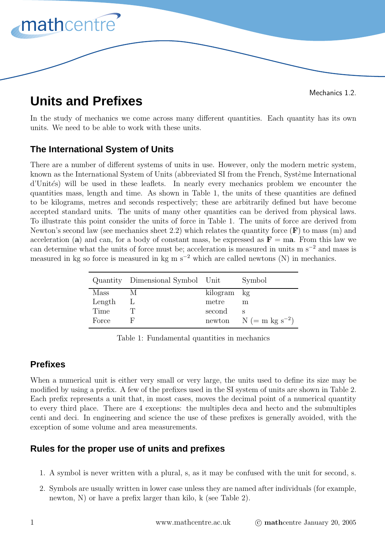

#### Mechanics 1.2.

# **Units and Prefixes**

In the study of mechanics we come across many different quantities. Each quantity has its own units. We need to be able to work with these units.

## **The International System of Units**

There are a number of different systems of units in use. However, only the modern metric system, known as the International System of Units (abbreviated SI from the French, Système International d'Unités) will be used in these leaflets. In nearly every mechanics problem we encounter the quantities mass, length and time. As shown in Table 1, the units of these quantities are defined to be kilograms, metres and seconds respectively; these are arbitrarily defined but have become accepted standard units. The units of many other quantities can be derived from physical laws. To illustrate this point consider the units of force in Table 1. The units of force are derived from Newton's second law (see mechanics sheet 2.2) which relates the quantity force  $(F)$  to mass  $(m)$  and acceleration (a) and can, for a body of constant mass, be expressed as  $\mathbf{F} = \text{ma}$ . From this law we can determine what the units of force must be; acceleration is measured in units m s<sup>−</sup><sup>2</sup> and mass is measured in kg so force is measured in kg m  $s^{-2}$  which are called newtons (N) in mechanics.

|        | Quantity Dimensional Symbol Unit |             | Symbol                     |
|--------|----------------------------------|-------------|----------------------------|
| Mass   |                                  | kilogram kg |                            |
| Length |                                  | metre       | m                          |
| Time   |                                  | second      |                            |
| Force  |                                  |             | newton $N (= m kg s^{-2})$ |

Table 1: Fundamental quantities in mechanics

### **Prefixes**

When a numerical unit is either very small or very large, the units used to define its size may be modified by using a prefix. A few of the prefixes used in the SI system of units are shown in Table 2. Each prefix represents a unit that, in most cases, moves the decimal point of a numerical quantity to every third place. There are 4 exceptions: the multiples deca and hecto and the submultiples centi and deci. In engineering and science the use of these prefixes is generally avoided, with the exception of some volume and area measurements.

### **Rules for the proper use of units and prefixes**

- 1. A symbol is never written with a plural, s, as it may be confused with the unit for second, s.
- 2. Symbols are usually written in lower case unless they are named after individuals (for example, newton, N) or have a prefix larger than kilo, k (see Table 2).